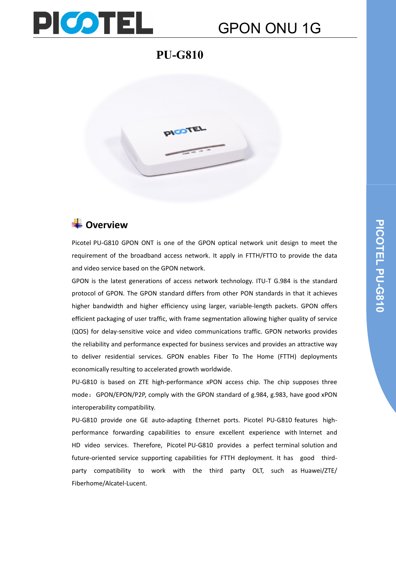

### **PU-G810**



### **C**Overview

Picotel PU-G810 GPON ONT is one of the GPON optical network unit design to meet the requirement of the broadband access network. It apply in FTTH/FTTO to provide the data and video service based on the GPON network.

GPON is the latest generations of access network technology. ITU-T G.984 is the standard protocol of GPON. The GPON standard differs from other PON standards in that it achieves higher bandwidth and higher efficiency using larger, variable-length packets. GPON offers efficient packaging of user traffic, with frame segmentation allowing higher quality of service (QOS) for delay-sensitive voice and video communications traffic. GPON networks provides the reliability and performance expected for business services and provides an attractive way to deliver residential services. GPON enables Fiber To The Home (FTTH) deployments economically resulting to accelerated growth worldwide.

PU-G810 is based on ZTE high-performance xPON access chip. The chip supposes three mode: GPON/EPON/P2P, comply with the GPON standard of g.984, g.983, have good xPON interoperability compatibility.

PU-G810 provide one GE auto-adapting Ethernet ports. Picotel PU-G810 features highperformance forwarding capabilities to ensure excellent experience with Internet and HD video services. Therefore, Picotel PU-G810 provides a perfect terminal solution and future-oriented service supporting capabilities for FTTH deployment. It has good thirdparty compatibility to work with the third party OLT, such as Huawei/ZTE/ Fiberhome/Alcatel-Lucent.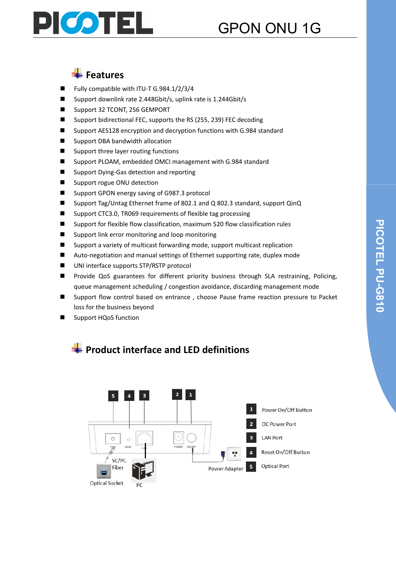

## Features

- Fully compatible with ITU-T G.984.1/2/3/4
- Support downlink rate 2.448Gbit/s, uplink rate is 1.244Gbit/s
- Support 32 TCONT, 256 GEMPORT
- Support bidirectional FEC, supports the RS (255, 239) FEC decoding
- Support AES128 encryption and decryption functions with G.984 standard
- **National Support DBA bandwidth allocation**
- Support three layer routing functions
- Support PLOAM, embedded OMCI management with G.984 standard
- Support Dving-Gas detection and reporting
- Support rogue ONU detection
- Support GPON energy saving of G987.3 protocol
- Support Tag/Untag Ethernet frame of 802.1 and Q 802.3 standard, support QinQ
- Support CTC3.0, TR069 requirements of flexible tag processing

**Product interface and LED definitions**

- Support for flexible flow classification, maximum 520 flow classification rules
- Support link error monitoring and loop monitoring
- Support a variety of multicast forwarding mode, support multicast replication
- Auto-negotiation and manual settings of Ethernet supporting rate, duplex mode
- UNI interface supports STP/RSTP protocol
- **Provide QoS guarantees for different priority business through SLA restraining, Policing,** queue management scheduling / congestion avoidance, discarding management mode
- Support flow control based on entrance , choose Pause frame reaction pressure to Packet loss for the business beyond
- Support HQoS function